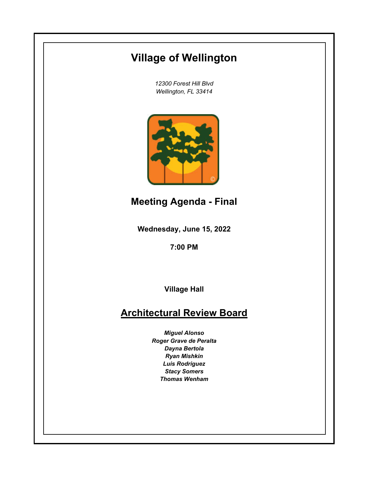# **Village of Wellington**

*12300 Forest Hill Blvd Wellington, FL 33414*



**Meeting Agenda - Final**

**Wednesday, June 15, 2022**

**7:00 PM**

**Village Hall**

# **Architectural Review Board**

*Miguel Alonso Roger Grave de Peralta Dayna Bertola Ryan Mishkin Luis Rodriguez Stacy Somers Thomas Wenham*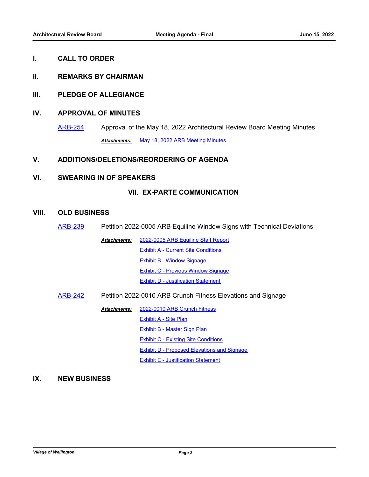#### **I. CALL TO ORDER**

### **II. REMARKS BY CHAIRMAN**

### **III. PLEDGE OF ALLEGIANCE**

## **IV. APPROVAL OF MINUTES**

[ARB-254](http://wellington.legistar.com/gateway.aspx?m=l&id=/matter.aspx?key=12330) Approval of the May 18, 2022 Architectural Review Board Meeting Minutes *Attachments:* [May 18, 2022 ARB Meeting Minutes](http://Wellington.legistar.com/gateway.aspx?M=F&ID=27a6a3ec-e98e-403f-80ae-16b9d0b7173c.docx)

## **V. ADDITIONS/DELETIONS/REORDERING OF AGENDA**

#### **VI. SWEARING IN OF SPEAKERS**

## **VII. EX-PARTE COMMUNICATION**

### **VIII. OLD BUSINESS**

- [ARB-239](http://wellington.legistar.com/gateway.aspx?m=l&id=/matter.aspx?key=12159) Petition 2022-0005 ARB Equiline Window Signs with Technical Deviations
	- [2022-0005 ARB Equiline Staff Report](http://Wellington.legistar.com/gateway.aspx?M=F&ID=3bbbcce6-0ef1-470e-b153-4f3505583f46.docx) [Exhibit A - Current Site Conditions](http://Wellington.legistar.com/gateway.aspx?M=F&ID=f9dc9693-f9c5-41fc-8cf4-0d07efacd5dc.docx) [Exhibit B - Window Signage](http://Wellington.legistar.com/gateway.aspx?M=F&ID=e752f13c-6ee9-49b6-a237-3361b0ff47bc.docx) [Exhibit C - Previous Window Signage](http://Wellington.legistar.com/gateway.aspx?M=F&ID=a554e262-1cd3-4605-89f3-8a5327222ce3.docx) **[Exhibit D - Justification Statement](http://Wellington.legistar.com/gateway.aspx?M=F&ID=5cb67892-20bc-4b3d-9c68-fe8f897f4c40.pdf)** *Attachments:*
- [ARB-242](http://wellington.legistar.com/gateway.aspx?m=l&id=/matter.aspx?key=12162) Petition 2022-0010 ARB Crunch Fitness Elevations and Signage

[2022-0010 ARB Crunch Fitness](http://Wellington.legistar.com/gateway.aspx?M=F&ID=e7165427-da81-43af-b650-18befaf4dfb8.docx) [Exhibit A - Site Plan](http://Wellington.legistar.com/gateway.aspx?M=F&ID=58154c9b-5a4d-4cb7-970f-fc8ad71b7f7d.pdf) [Exhibit B - Master Sign Plan](http://Wellington.legistar.com/gateway.aspx?M=F&ID=57ab67ee-0131-425a-9afd-f8a9eee22982.pdf) [Exhibit C - Existing Site Conditions](http://Wellington.legistar.com/gateway.aspx?M=F&ID=4a8e3614-52f5-4793-90b2-44ccac690f22.docx) [Exhibit D - Proposed Elevations and Signage](http://Wellington.legistar.com/gateway.aspx?M=F&ID=0a333b43-8f13-4d6f-83d7-8990e2a0ecd9.pdf) **[Exhibit E - Justification Statement](http://Wellington.legistar.com/gateway.aspx?M=F&ID=a921b2ff-42c3-4dcb-a7da-6e571345196c.pdf)** *Attachments:*

## **IX. NEW BUSINESS**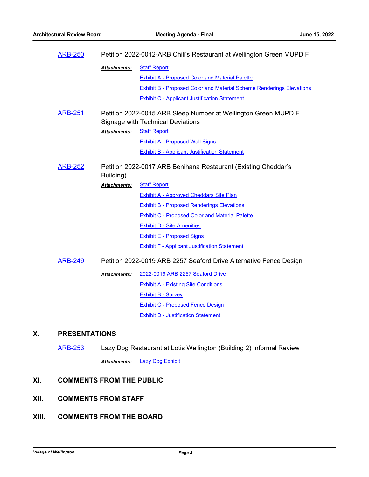| <b>ARB-250</b> | Petition 2022-0012-ARB Chili's Restaurant at Wellington Green MUPD F                                       |                                                                             |
|----------------|------------------------------------------------------------------------------------------------------------|-----------------------------------------------------------------------------|
|                | <b>Attachments:</b>                                                                                        | <b>Staff Report</b>                                                         |
|                |                                                                                                            | <b>Exhibit A - Proposed Color and Material Palette</b>                      |
|                |                                                                                                            | <b>Exhibit B - Proposed Color and Material Scheme Renderings Elevations</b> |
|                |                                                                                                            | <b>Exhibit C - Applicant Justification Statement</b>                        |
| <b>ARB-251</b> | Petition 2022-0015 ARB Sleep Number at Wellington Green MUPD F<br><b>Signage with Technical Deviations</b> |                                                                             |
|                | Attachments:                                                                                               | <b>Staff Report</b>                                                         |
|                |                                                                                                            | <b>Exhibit A - Proposed Wall Signs</b>                                      |
|                |                                                                                                            | <b>Exhibit B - Applicant Justification Statement</b>                        |
| <b>ARB-252</b> | Petition 2022-0017 ARB Benihana Restaurant (Existing Cheddar's<br>Building)                                |                                                                             |
|                | <b>Attachments:</b>                                                                                        | <b>Staff Report</b>                                                         |
|                |                                                                                                            | <b>Exhibit A - Approved Cheddars Site Plan</b>                              |
|                |                                                                                                            | <b>Exhibit B - Proposed Renderings Elevations</b>                           |
|                |                                                                                                            | <b>Exhibit C - Proposed Color and Material Palette</b>                      |
|                |                                                                                                            | <b>Exhibit D - Site Amenities</b>                                           |
|                |                                                                                                            | <b>Exhibit E - Proposed Signs</b>                                           |
|                |                                                                                                            | <b>Exhibit F - Applicant Justification Statement</b>                        |
| <b>ARB-249</b> | Petition 2022-0019 ARB 2257 Seaford Drive Alternative Fence Design                                         |                                                                             |
|                | <b>Attachments:</b>                                                                                        | 2022-0019 ARB 2257 Seaford Drive                                            |
|                |                                                                                                            | <b>Exhibit A - Existing Site Conditions</b>                                 |
|                |                                                                                                            | <b>Exhibit B - Survey</b>                                                   |
|                |                                                                                                            | <b>Exhibit C - Proposed Fence Design</b>                                    |
|                |                                                                                                            | <b>Exhibit D - Justification Statement</b>                                  |
|                |                                                                                                            |                                                                             |

# **X. PRESENTATIONS**

[ARB-253](http://wellington.legistar.com/gateway.aspx?m=l&id=/matter.aspx?key=12325) Lazy Dog Restaurant at Lotis Wellington (Building 2) Informal Review

*Attachments:* [Lazy Dog Exhibit](http://Wellington.legistar.com/gateway.aspx?M=F&ID=d96e1d6f-f7d7-42c2-a9de-e0974be514f4.pdf)

# **XI. COMMENTS FROM THE PUBLIC**

- **XII. COMMENTS FROM STAFF**
- **XIII. COMMENTS FROM THE BOARD**